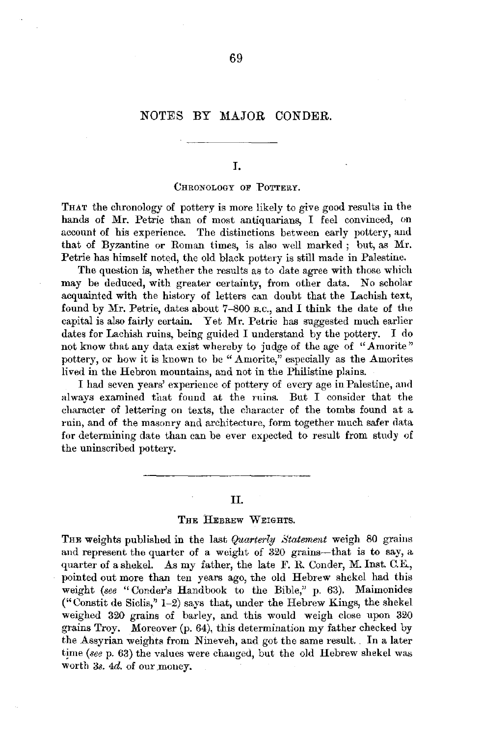# NOTES BY MAJOR CONDER.

I.

#### CHRONOLOGY OF POTTERY.

THAT the chronology of pottery is more likely to give good results in the hands of Mr. Petrie than of most antiquarians, I feel convinced, on account of his experience. The distinctions between early pottery, and that of Byzantine or Roman times, is also well marked ; but, as Mr. Petrie has himself noted, the old black pottery is still made in Palestine.

The question is, whether the results as to date agree with those which may be deduced, with greater certainty, from other data. No scholar acquainted with the history of letters can doubt that the Lachish text, found by Mr. Petrie, dates about 7-800 B.c., and I think the date of the capital is also fairly certain. Yet Mr. Petrie has suggested much earlier dates for Lachish ruins, being guided I understand by the pottery. I do not know that any data exist whereby to judge of the age of "Amorite" pottery, or how it is known to be "Amorite," especially as the Amorites lived in the Hebron mountains, and not in the Philistine plains.

I had seven years' experience of pottery of every age in Palestine, and always examined that found at the ruins. But I consider that the character of lettering on texts, the character of the tombs found at a ruin, and of the masonry and architecture, form together much safer data for determining date than can be ever expected to result from study of the uninscribed pottery.

# II.

# THE HEBREW WEIGHTS.

THE weights published in the last *Quarterly Statement* weigh 80 grains and represent the quarter of a weight of 320 grains-that is to say, a quarter of a shekel. As my father, the late F. R. Conder, M. Inst. C.E., pointed out more than ten years ago, the old Hebrew shekel had this weight (see "Conder's Handbook to the Bible," p. 63). Maimonides ("Constit de Siclis," 1-2) says that, under the Hebrew Kings, the shekel weighed 320 grains of barley, and this would weigh close upon 320 grains Troy. Moreover (p. 64), this determination my father checked by the Assyrian weights from Nineveh, and got the same result .. In a later time *(see p. 63)* the values were changed, but the old Hebrew shekel was worth 3s. 4d. of our money.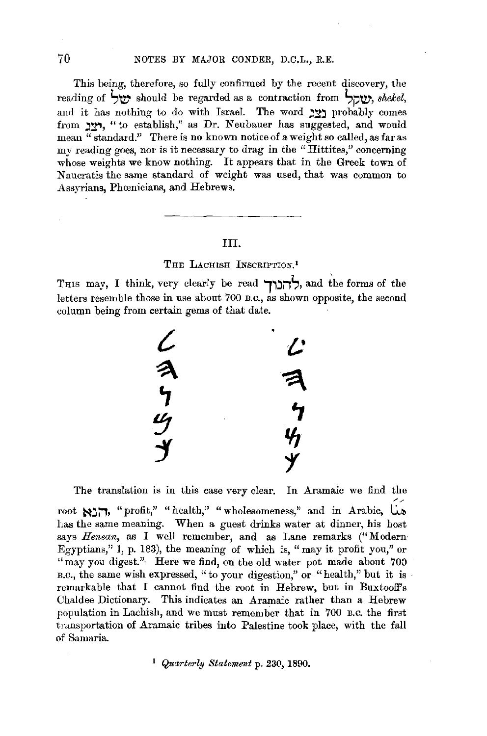This being, therefore, so fully confirmed by the recent discovery, the reading of **S'!V'** should be regarded as a contraction from **S;,'!V',** *shekel,*  and it has nothing to do with Israel. The word **יצב** probably comes from **.y.**, "to establish," as Dr. Neubauer has suggested, and would mean  $\overline{u}$  standard." There is no known notice of a weight so called, as far as my reading goes, nor is it necessary to drag in the "Hittites," concerning whose weights we know nothing. It appears that in the Greek town of Naucratis the same standard of weight was used, that was common to Assyrians, Phoenicians, and Hebrews.

#### III.

# THE LACHISH INSCRIPTION.<sup>1</sup>

Tms may, I think, very clearly be read **r,:i;,',,** and the forms of the letters resemble those **in** use about 700 B.c., as shown opposite, the second column being from certain gems of that date.



The translation is in this case very clear. In Aramaic we find the root  $\sum_{i=1}^n$ , "profit," "health," "wholesomeness," and in Arabic, La has the same meaning. When a guest drinks water at dinner, his host says *Henean,* as I well remember, and as Lane remarks (" Modern· Egyptians," 1, p. 183), the meaning of which is, "may it profit you," or "may you digest." Here we find, on the old water pot made about 700  $B.C.,$  the same wish expressed, " to your digestion," or "health," but it is remarkable that I cannot find the root in Hebrew, but in Buxtooff's Chaldee Dictionary. This indicates an Aramaic rather than a Hebrew population in Lachish, and we must remember that in 700 B.c. the first trnnsportation of Aramaic tribes into Palestine took place, with the fall of Samaria.

<sup>1</sup> Quarterly Statement p. 230, 1890.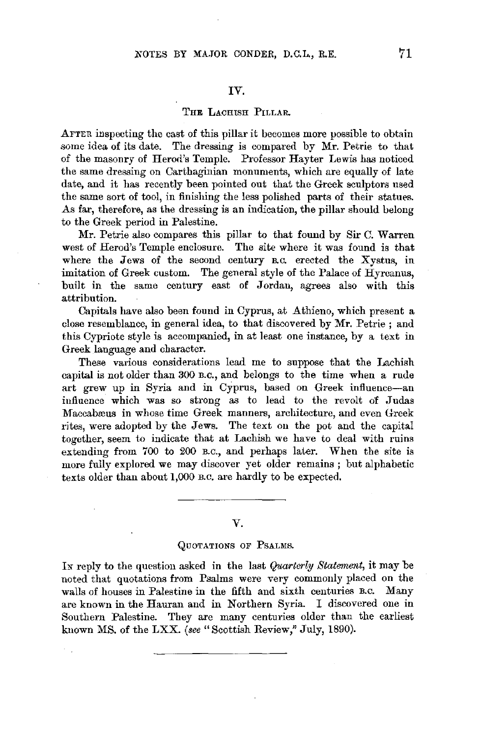#### IV.

# THE LACHISH PILLAR.

AFTER inspecting the cast of this pillar it becomes more possible to obtain some idea of its date. The dressing is compared by Mr. Petrie to that of the masonry of Herod's Temple. Professor Hayter Lewis has noticed the same dressing on Carthaginian monuments, which are equally of late date, and it has recently been pointed out that the Greek sculptors used the same sort of tool, in finishing the less polished parts of their statues. As far, therefore, as the dressing is an indication, the pillar should belong to the Greek period in Palestine.

Mr. Petrie also compares this pillar to that found by Sir C. Warren west of Herod's Temple enclosure. The site where it was found is that where the Jews of the second century B.C. erected the Xystus, in imitation of Greek custom. The general style of the Palace of Hyrcanus, built in the same century east of Jordan, agrees also with this attribution.

Capitals have also been found in Cyprus, at Athieno, which present a close resemblance, in general idea, to that discovered by Mr. Petrie ; and this Cypriote style is accompanied, in at least one instance, by a text in Greek language and character.

These various considerations lead me to suppose that the Lachish capital is not older than 300 n.c., and belongs to the time when a rude art grew up in Syria and in Cyprus, based on Greek influence-an influence which was so strong as to lead to the revolt of Judas Maccabæus in whose time Greek manners, architecture, and even Greek rites, were adopted by the Jews. The text on the pot and the capital together, seem to indicate that at Lachish we have to deal with ruins extending from 700 to 200 B.C., and perhaps later. When the site is more fully explored we may discover yet older remains ; but alphabetic texts older than about 1,000 B.C. are hardly to be expected.

## *V.*

#### QUOTATIONS OF PSALMS.

IN reply to the question asked in the last *Quarterly Statement,* it may be noted that quotations from Psalms were very commonly placed on the walls of houses in Palestine in the fifth and sixth centuries B.C. Many are known in the Hauran and in Northern Syria. I discovered one in Southern Palestine. They are many centuries older than the earliest known MS. of the LXX. *(see"* Scottish Review," July, 1890).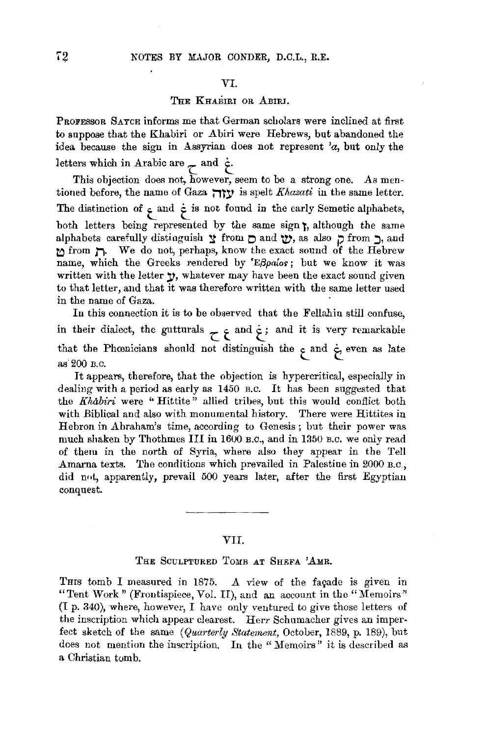#### VI.

## THE KHABIRI OR ABIRI.

PROFESSOR SAYCE informs me that German scholars were inclined at first to suppose that the Khabiri or Abiri were Hebrews, but abandoned the idea because the sign in Assyrian does not represent *'a,* but only the letters which in Arabic are  $\tau$  and  $\dot{\tau}$ .

This objection does not, however, seem to be a strong one. As mentioned before, the name of Gaza **:** v is spelt *Khazati* in the same letter. The distinction of  $\epsilon$  and  $\dot{\epsilon}$  is not found in the early Semetic alphabets, both letters being represented by the same sign **t,** although the same alphabets carefully distinguish  $\gamma$  from  $\Box$  and  $\gamma$ , as also  $\Box$  from  $\Box$ , and **t:,** from **Ji.** We do not, perhaps, know the exact sound of the Hebrew name, which the Greeks rendered by 'E $\beta$ paios; but we know it was written with the letter **y**, whatever may have been the exact sound given to that letter, and that it was therefore written with the same letter used in the name of Gaza.

In this connection it is to be observed that the Fellahin still confuse, in their dialect, the gutturals  $\frac{1}{\epsilon}$  and  $\frac{1}{\epsilon}$ ; and it is very remarkable that the Phrenicians should not distinguish the **t\_** and **'c** even as late as'200 B.C.

It appears, therefore, that the objection is hypercritical, especially in dealiug with a period as early as 1450 B.c. It has been suggested that the *Khabiri* were "Hittite" allied tribes, but this would conflict both with Biblical and also with monumental history. There were Hittites in Hebron in Abraham's time, according to Genesis ; but their power was much shaken by Thothmes III in 1600 B.c., and in 1350 B.c. we only read of them in the north of Syria, where also they appear in the Tell Amarna texts. The conditions which prevailed in Palestine in 2000 B.c , did not, apparently, prevail 500 years later, after the first Egyptian conquest.

#### VII.

#### THE SCULPTURED TOMB AT SHEFA 'AMR.

THIS tomb I measured in 1875. A view of the façade is given in "Tent Work" (Frontispiece, Vol. II), and an account in the "Memoirs"  $(I, p. 340)$ , where, however, I have only ventured to give those letters of the inscription which appear clearest. Herr Schumacher gives an imperfect sketch of the same *(Quarterly Statement,* October, 1889, p. 189), but does not mention the inscription. In the "Memoirs" it is described as a Christian tomb.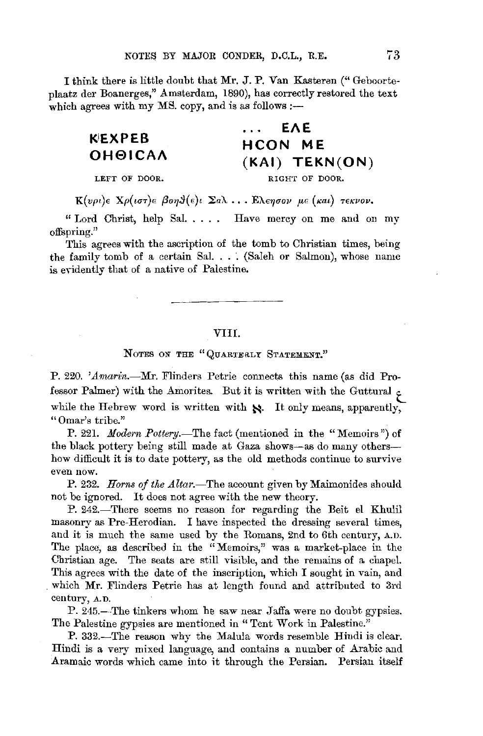I think there is little doubt that Mr. J.P. Van Kasteren (" Geboorteplaatz der Boanerges," Amsterdam, 1890), has correctly restored the text which agrees with my MS. copy, and is as follows :-

# **KEXPEB OH01CAA**

# **EAE**   $\mathbf{r}$  ,  $\mathbf{r}$ **HCON ME (KAI) TEKN(ON)**

LEFT OF DOOR.

RIGHT OF DOOR.

*K*(*vρι*)*ε Xρ*(*ιστ*)*ε βοη*θ(*ε*)*ι* Σ*a*λ... *Eλεησον με* (*κaι*) *τεκνον.* 

" Lord Christ, help Sal.  $\dots$ . Have mercy on me and on my offspring."

This agrees with the ascription of the tomb to Christian times, being the family tomb of a certain Sal. ... (Saleh or Salmon), whose name is evidently that of a native of Palestine.

#### VIII.

NOTES ON THE "QUARTERLY STATEMENT."

P. 220. 'Amarin.--Mr. Flinders Petrie connects this name (as did Professor Palmer) with the Amorites. But it is written with the Guttural  $\zeta$ while the Hebrew word is written with  $\aleph$ . It only means, apparently, "Omar's tribe."

P. 221. *Modern Pottery.*-The fact (mentioned in the "Memoirs") of the black pottery being still made at Gaza shows-as do many othershow difficult it is to date pottery, as the old methods continue to survive even now.

P. 232. *Horns of the Altar.*-The account given by Maimonides should not be ignored. It does not agree with the new theory.

P. 242.-There seems no reason for regarding the Beit el Khulil masonry as Pre-Herodian. I have inspected the dressing several times, and it is much the same used by the Romans, 2nd to 6th century, A.D. The place, as described in the "Memoirs," was a market-place in the Christian age. The seats are still visible, and the remains of a chapel. This agrees with the date of the inscription, which I sought in vain, and which **Mr.** Flinders Petrie has at length found and attributed to 3rd century, A.D.

P. 245.-The tinkers whom he saw near Jaffa were no doubt gypsies. The Palestine gypsies are mentioned in " Tent Work in Palestine."

P. 332.-The reason why the Malula words resemble Hindi is clear. Hindi is a very mixed language, and contains a number of Arabic and Aramaic words which came into it through the Persian. Persian itself